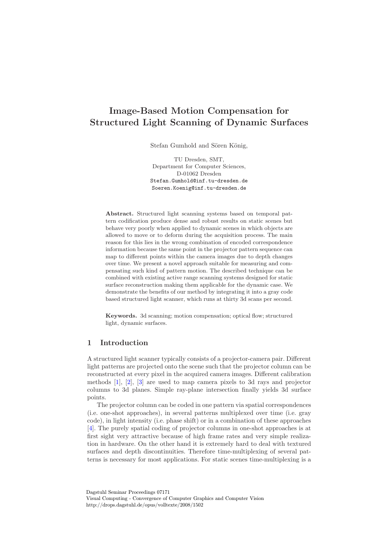# Image-Based Motion Compensation for Structured Light Scanning of Dynamic Surfaces

Stefan Gumhold and Sören König,

TU Dresden, SMT, Department for Computer Sciences, D-01062 Dresden Stefan.Gumhold@inf.tu-dresden.de Soeren.Koenig@inf.tu-dresden.de

Abstract. Structured light scanning systems based on temporal pattern codification produce dense and robust results on static scenes but behave very poorly when applied to dynamic scenes in which objects are allowed to move or to deform during the acquisition process. The main reason for this lies in the wrong combination of encoded correspondence information because the same point in the projector pattern sequence can map to different points within the camera images due to depth changes over time. We present a novel approach suitable for measuring and compensating such kind of pattern motion. The described technique can be combined with existing active range scanning systems designed for static surface reconstruction making them applicable for the dynamic case. We demonstrate the benefits of our method by integrating it into a gray code based structured light scanner, which runs at thirty 3d scans per second.

Keywords. 3d scanning; motion compensation; optical flow; structured light, dynamic surfaces.

# 1 Introduction

A structured light scanner typically consists of a projector-camera pair. Different light patterns are projected onto the scene such that the projector column can be reconstructed at every pixel in the acquired camera images. Different calibration methods [\[1\]](#page-3-0), [\[2\]](#page-3-1), [\[3\]](#page-3-2) are used to map camera pixels to 3d rays and projector columns to 3d planes. Simple ray-plane intersection finally yields 3d surface points.

The projector column can be coded in one pattern via spatial correspondences (i.e. one-shot approaches), in several patterns multiplexed over time (i.e. gray code), in light intensity (i.e. phase shift) or in a combination of these approaches [\[4\]](#page-3-3). The purely spatial coding of projector columns in one-shot approaches is at first sight very attractive because of high frame rates and very simple realization in hardware. On the other hand it is extremely hard to deal with textured surfaces and depth discontinuities. Therefore time-multiplexing of several patterns is necessary for most applications. For static scenes time-multiplexing is a

Dagstuhl Seminar Proceedings 07171 Visual Computing - Convergence of Computer Graphics and Computer Vision http://drops.dagstuhl.de/opus/volltexte/2008/1502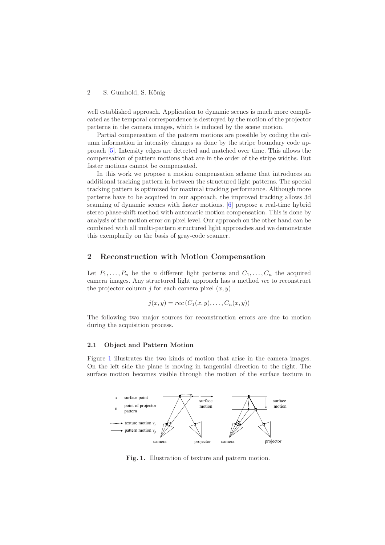#### 2 S. Gumhold, S. König

well established approach. Application to dynamic scenes is much more complicated as the temporal correspondence is destroyed by the motion of the projector patterns in the camera images, which is induced by the scene motion.

Partial compensation of the pattern motions are possible by coding the column information in intensity changes as done by the stripe boundary code approach [\[5\]](#page-3-4). Intensity edges are detected and matched over time. This allows the compensation of pattern motions that are in the order of the stripe widths. But faster motions cannot be compensated.

In this work we propose a motion compensation scheme that introduces an additional tracking pattern in between the structured light patterns. The special tracking pattern is optimized for maximal tracking performance. Although more patterns have to be acquired in our approach, the improved tracking allows 3d scanning of dynamic scenes with faster motions. [\[6\]](#page-3-5) propose a real-time hybrid stereo phase-shift method with automatic motion compensation. This is done by analysis of the motion error on pixel level. Our approach on the other hand can be combined with all multi-pattern structured light approaches and we demonstrate this exemplarily on the basis of gray-code scanner.

## 2 Reconstruction with Motion Compensation

Let  $P_1, \ldots, P_n$  be the *n* different light patterns and  $C_1, \ldots, C_n$  the acquired camera images. Any structured light approach has a method rec to reconstruct the projector column *j* for each camera pixel  $(x, y)$ 

$$
j(x, y) = rec(C_1(x, y), \dots, C_n(x, y))
$$

The following two major sources for reconstruction errors are due to motion during the acquisition process.

### 2.1 Object and Pattern Motion

Figure [1](#page-1-0) illustrates the two kinds of motion that arise in the camera images. On the left side the plane is moving in tangential direction to the right. The surface motion becomes visible through the motion of the surface texture in



<span id="page-1-0"></span>Fig. 1. Illustration of texture and pattern motion.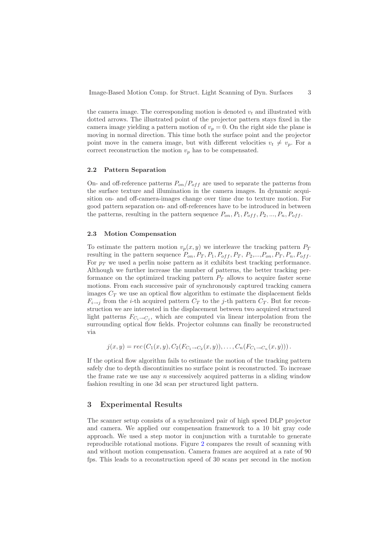Image-Based Motion Comp. for Struct. Light Scanning of Dyn. Surfaces 3

the camera image. The corresponding motion is denoted  $v_t$  and illustrated with dotted arrows. The illustrated point of the projector pattern stays fixed in the camera image yielding a pattern motion of  $v_p = 0$ . On the right side the plane is moving in normal direction. This time both the surface point and the projector point move in the camera image, but with different velocities  $v_t \neq v_p$ . For a correct reconstruction the motion  $v_p$  has to be compensated.

## 2.2 Pattern Separation

On- and off-reference patterns  $P_{on}/P_{off}$  are used to separate the patterns from the surface texture and illumination in the camera images. In dynamic acquisition on- and off-camera-images change over time due to texture motion. For good pattern separation on- and off-references have to be introduced in between the patterns, resulting in the pattern sequence  $P_{on}, P_1, P_{off}, P_2, ..., P_n, P_{off}$ .

#### 2.3 Motion Compensation

To estimate the pattern motion  $v_p(x,y)$  we interleave the tracking pattern  $P_T$ resulting in the pattern sequence  $P_{on}$ ,  $P_T$ ,  $P_1$ ,  $P_{off}$ ,  $P_T$ ,  $P_2$ ,...,  $P_{on}$ ,  $P_T$ ,  $P_n$ ,  $P_{off}$ . For  $p_T$  we used a perlin noise pattern as it exhibits best tracking performance. Although we further increase the number of patterns, the better tracking performance on the optimized tracking pattern  $P_T$  allows to acquire faster scene motions. From each successive pair of synchronously captured tracking camera images  $C_T$  we use an optical flow algorithm to estimate the displacement fields  $F_{i\rightarrow j}$  from the *i*-th acquired pattern  $C_T$  to the *j*-th pattern  $C_T$ . But for reconstruction we are interested in the displacement between two acquired structured light patterns  $F_{C_i \to C_j}$ , which are computed via linear interpolation from the surrounding optical flow fields. Projector columns can finally be reconstructed via

$$
j(x,y) = rec(C_1(x,y), C_2(F_{C_1 \to C_2}(x,y)), \dots, C_n(F_{C_1 \to C_n}(x,y))).
$$

If the optical flow algorithm fails to estimate the motion of the tracking pattern safely due to depth discontinuities no surface point is reconstructed. To increase the frame rate we use any  $n$  successively acquired patterns in a sliding window fashion resulting in one 3d scan per structured light pattern.

# 3 Experimental Results

The scanner setup consists of a synchronized pair of high speed DLP projector and camera. We applied our compensation framework to a 10 bit gray code approach. We used a step motor in conjunction with a turntable to generate reproducible rotational motions. Figure [2](#page-3-6) compares the result of scanning with and without motion compensation. Camera frames are acquired at a rate of 90 fps. This leads to a reconstruction speed of 30 scans per second in the motion